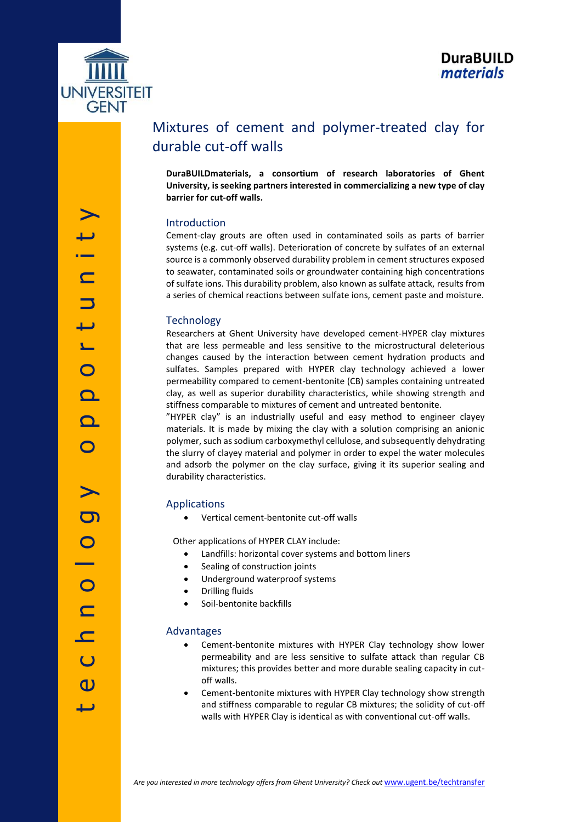

# Mixtures of cement and polymer-treated clay for durable cut-off walls

**DuraBUILDmaterials, a consortium of research laboratories of Ghent University, is seeking partners interested in commercializing a new type of clay barrier for cut-off walls.**

## Introduction

Cement-clay grouts are often used in contaminated soils as parts of barrier systems (e.g. cut-off walls). Deterioration of concrete by sulfates of an external source is a commonly observed durability problem in cement structures exposed to seawater, contaminated soils or groundwater containing high concentrations of sulfate ions. This durability problem, also known as sulfate attack, results from a series of chemical reactions between sulfate ions, cement paste and moisture.

## **Technology**

Researchers at Ghent University have developed cement-HYPER clay mixtures that are less permeable and less sensitive to the microstructural deleterious changes caused by the interaction between cement hydration products and sulfates. Samples prepared with HYPER clay technology achieved a lower permeability compared to cement-bentonite (CB) samples containing untreated clay, as well as superior durability characteristics, while showing strength and stiffness comparable to mixtures of cement and untreated bentonite.

"HYPER clay" is an industrially useful and easy method to engineer clayey materials. It is made by mixing the clay with a solution comprising an anionic polymer, such as sodium carboxymethyl cellulose, and subsequently dehydrating the slurry of clayey material and polymer in order to expel the water molecules and adsorb the polymer on the clay surface, giving it its superior sealing and durability characteristics.

## Applications

Vertical cement-bentonite cut-off walls

Other applications of HYPER CLAY include:

- Landfills: horizontal cover systems and bottom liners
- Sealing of construction joints
- Underground waterproof systems
- Drilling fluids
- Soil-bentonite backfills

#### Advantages

- Cement-bentonite mixtures with HYPER Clay technology show lower permeability and are less sensitive to sulfate attack than regular CB mixtures; this provides better and more durable sealing capacity in cutoff walls.
- Cement-bentonite mixtures with HYPER Clay technology show strength and stiffness comparable to regular CB mixtures; the solidity of cut-off walls with HYPER Clay is identical as with conventional cut-off walls.